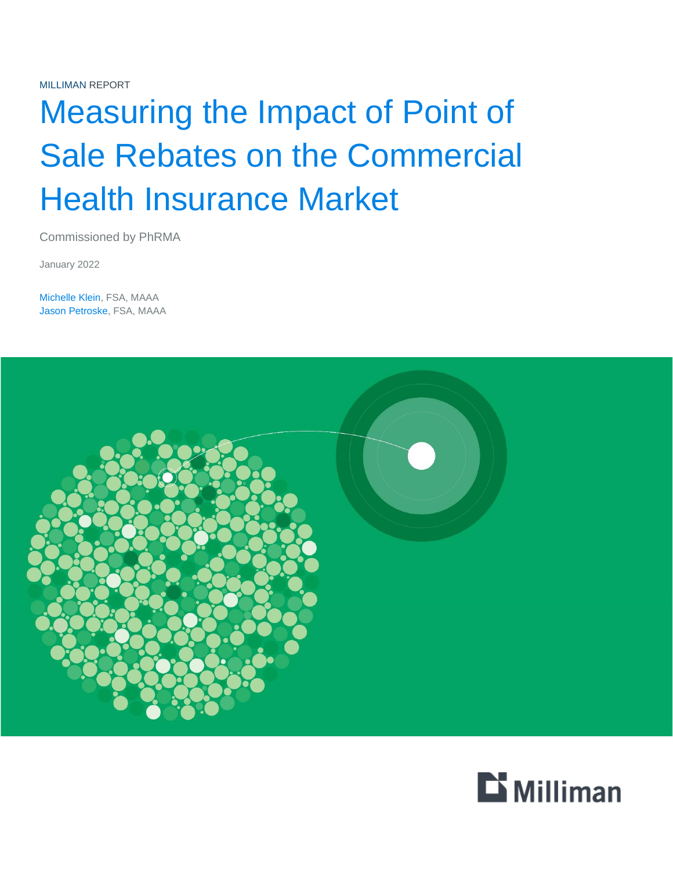MILLIMAN REPORT

# Measuring the Impact of Point of Sale Rebates on the Commercial Health Insurance Market

Commissioned by PhRMA

January 2022

Michelle Klein, FSA, MAAA Jason Petroske, FSA, MAAA



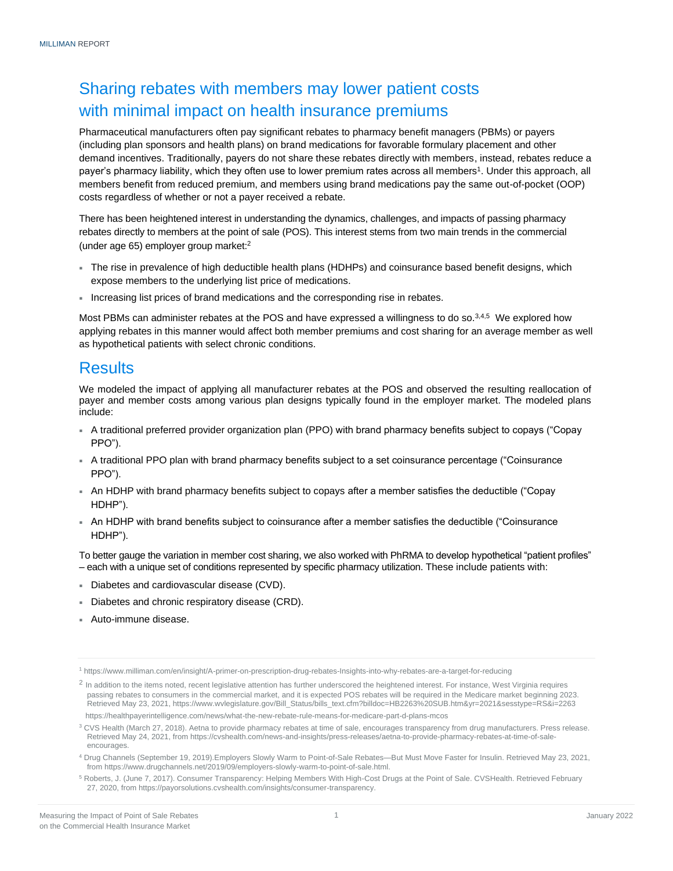## Sharing rebates with members may lower patient costs with minimal impact on health insurance premiums

Pharmaceutical manufacturers often pay significant rebates to pharmacy benefit managers (PBMs) or payers (including plan sponsors and health plans) on brand medications for favorable formulary placement and other demand incentives. Traditionally, payers do not share these rebates directly with members, instead, rebates reduce a payer's pharmacy liability, which they often use to lower premium rates across all members<sup>1</sup>. Under this approach, all members benefit from reduced premium, and members using brand medications pay the same out-of-pocket (OOP) costs regardless of whether or not a payer received a rebate.

There has been heightened interest in understanding the dynamics, challenges, and impacts of passing pharmacy rebates directly to members at the point of sale (POS). This interest stems from two main trends in the commercial (under age 65) employer group market:<sup>2</sup>

- The rise in prevalence of high deductible health plans (HDHPs) and coinsurance based benefit designs, which expose members to the underlying list price of medications.
- Increasing list prices of brand medications and the corresponding rise in rebates.

Most PBMs can administer rebates at the POS and have expressed a willingness to do so.<sup>3,4,5</sup> We explored how applying rebates in this manner would affect both member premiums and cost sharing for an average member as well as hypothetical patients with select chronic conditions.

## **Results**

We modeled the impact of applying all manufacturer rebates at the POS and observed the resulting reallocation of payer and member costs among various plan designs typically found in the employer market. The modeled plans include:

- A traditional preferred provider organization plan (PPO) with brand pharmacy benefits subject to copays ("Copay PPO").
- A traditional PPO plan with brand pharmacy benefits subject to a set coinsurance percentage ("Coinsurance PPO").
- An HDHP with brand pharmacy benefits subject to copays after a member satisfies the deductible ("Copay HDHP").
- An HDHP with brand benefits subject to coinsurance after a member satisfies the deductible ("Coinsurance HDHP").

To better gauge the variation in member cost sharing, we also worked with PhRMA to develop hypothetical "patient profiles" – each with a unique set of conditions represented by specific pharmacy utilization. These include patients with:

- Diabetes and cardiovascular disease (CVD).
- Diabetes and chronic respiratory disease (CRD).
- Auto-immune disease.

<sup>1</sup> https://www.milliman.com/en/insight/A-primer-on-prescription-drug-rebates-Insights-into-why-rebates-are-a-target-for-reducing

 $^2$  In addition to the items noted, recent legislative attention has further underscored the heightened interest. For instance, West Virginia requires passing rebates to consumers in the commercial market, and it is expected POS rebates will be required in the Medicare market beginning 2023. Retrieved May 23, 2021, https://www.wvlegislature.gov/Bill\_Status/bills\_text.cfm?billdoc=HB2263%20SUB.htm&yr=2021&sesstype=RS&i=2263 https://healthpayerintelligence.com/news/what-the-new-rebate-rule-means-for-medicare-part-d-plans-mcos

<sup>&</sup>lt;sup>3</sup> CVS Health (March 27, 2018). Aetna to provide pharmacy rebates at time of sale, encourages transparency from drug manufacturers. Press release. Retrieved May 24, 2021, from https://cvshealth.com/news-and-insights/press-releases/aetna-to-provide-pharmacy-rebates-at-time-of-saleencourages.

<sup>4</sup> Drug Channels (September 19, 2019).Employers Slowly Warm to Point-of-Sale Rebates—But Must Move Faster for Insulin. Retrieved May 23, 2021, from https://www.drugchannels.net/2019/09/employers-slowly-warm-to-point-of-sale.html.

<sup>&</sup>lt;sup>5</sup> Roberts, J. (June 7, 2017). Consumer Transparency: Helping Members With High-Cost Drugs at the Point of Sale. CVSHealth. Retrieved February 27, 2020, from https://payorsolutions.cvshealth.com/insights/consumer-transparency.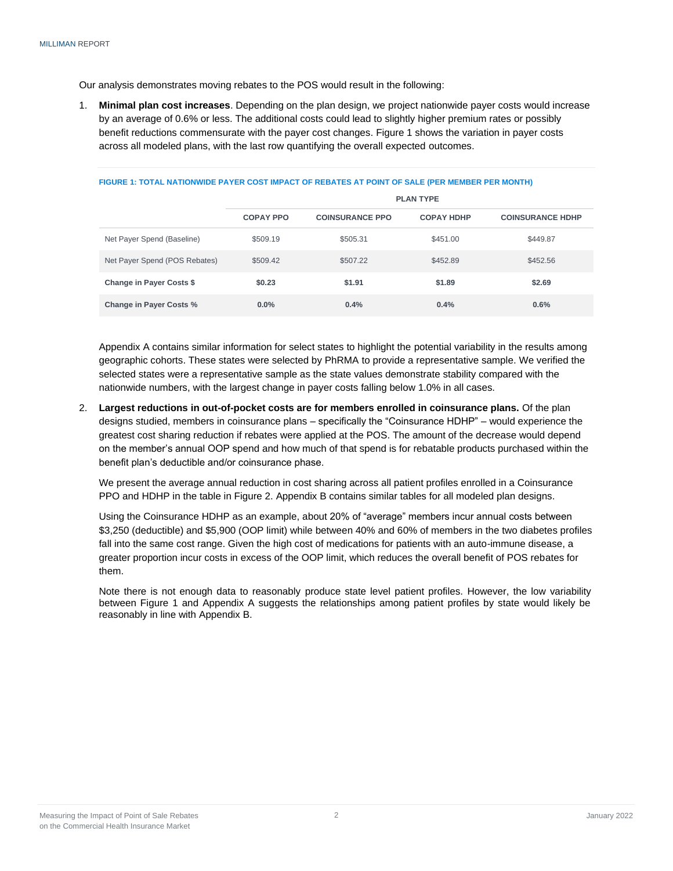Our analysis demonstrates moving rebates to the POS would result in the following:

1. **Minimal plan cost increases**. Depending on the plan design, we project nationwide payer costs would increase by an average of 0.6% or less. The additional costs could lead to slightly higher premium rates or possibly benefit reductions commensurate with the payer cost changes. Figure 1 shows the variation in payer costs across all modeled plans, with the last row quantifying the overall expected outcomes.

|                                 | <b>PLAN TYPE</b> |                        |                   |                         |  |
|---------------------------------|------------------|------------------------|-------------------|-------------------------|--|
|                                 | <b>COPAY PPO</b> | <b>COINSURANCE PPO</b> | <b>COPAY HDHP</b> | <b>COINSURANCE HDHP</b> |  |
| Net Payer Spend (Baseline)      | \$509.19         | \$505.31               | \$451.00          | \$449.87                |  |
| Net Payer Spend (POS Rebates)   | \$509.42         | \$507.22               | \$452.89          | \$452.56                |  |
| <b>Change in Payer Costs \$</b> | \$0.23           | \$1.91                 | \$1.89            | \$2.69                  |  |
| <b>Change in Payer Costs %</b>  | $0.0\%$          | 0.4%                   | 0.4%              | 0.6%                    |  |

#### **FIGURE 1: TOTAL NATIONWIDE PAYER COST IMPACT OF REBATES AT POINT OF SALE (PER MEMBER PER MONTH)**

Appendix A contains similar information for select states to highlight the potential variability in the results among geographic cohorts. These states were selected by PhRMA to provide a representative sample. We verified the selected states were a representative sample as the state values demonstrate stability compared with the nationwide numbers, with the largest change in payer costs falling below 1.0% in all cases.

2. **Largest reductions in out-of-pocket costs are for members enrolled in coinsurance plans.** Of the plan designs studied, members in coinsurance plans – specifically the "Coinsurance HDHP" – would experience the greatest cost sharing reduction if rebates were applied at the POS. The amount of the decrease would depend on the member's annual OOP spend and how much of that spend is for rebatable products purchased within the benefit plan's deductible and/or coinsurance phase.

We present the average annual reduction in cost sharing across all patient profiles enrolled in a Coinsurance PPO and HDHP in the table in Figure 2. Appendix B contains similar tables for all modeled plan designs.

Using the Coinsurance HDHP as an example, about 20% of "average" members incur annual costs between \$3,250 (deductible) and \$5,900 (OOP limit) while between 40% and 60% of members in the two diabetes profiles fall into the same cost range. Given the high cost of medications for patients with an auto-immune disease, a greater proportion incur costs in excess of the OOP limit, which reduces the overall benefit of POS rebates for them.

Note there is not enough data to reasonably produce state level patient profiles. However, the low variability between Figure 1 and Appendix A suggests the relationships among patient profiles by state would likely be reasonably in line with Appendix B.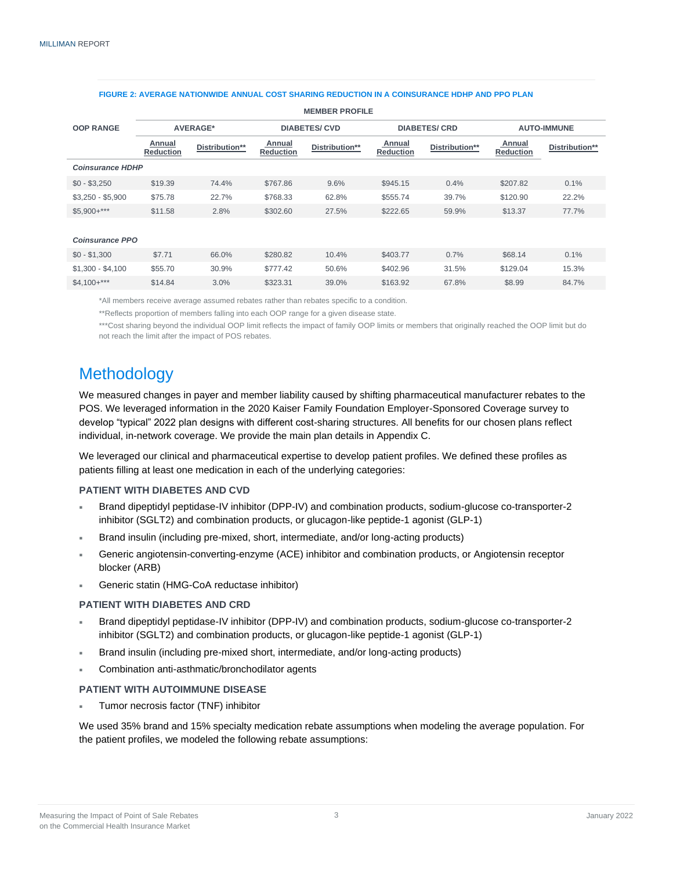|                         | <b>WEWDER FRUITLE</b>      |                |                            |                |                            |                |                            |                |
|-------------------------|----------------------------|----------------|----------------------------|----------------|----------------------------|----------------|----------------------------|----------------|
| <b>OOP RANGE</b>        | AVERAGE*                   |                | <b>DIABETES/CVD</b>        |                | <b>DIABETES/ CRD</b>       |                | <b>AUTO-IMMUNE</b>         |                |
|                         | Annual<br><b>Reduction</b> | Distribution** | Annual<br><b>Reduction</b> | Distribution** | Annual<br><b>Reduction</b> | Distribution** | Annual<br><b>Reduction</b> | Distribution** |
| <b>Coinsurance HDHP</b> |                            |                |                            |                |                            |                |                            |                |
| $$0 - $3,250$           | \$19.39                    | 74.4%          | \$767.86                   | 9.6%           | \$945.15                   | 0.4%           | \$207.82                   | 0.1%           |
| $$3,250 - $5,900$       | \$75.78                    | 22.7%          | \$768.33                   | 62.8%          | \$555.74                   | 39.7%          | \$120.90                   | 22.2%          |
| $$5,900+***$            | \$11.58                    | 2.8%           | \$302.60                   | 27.5%          | \$222.65                   | 59.9%          | \$13.37                    | 77.7%          |
|                         |                            |                |                            |                |                            |                |                            |                |
| <b>Coinsurance PPO</b>  |                            |                |                            |                |                            |                |                            |                |
| $$0 - $1,300$           | \$7.71                     | 66.0%          | \$280.82                   | 10.4%          | \$403.77                   | 0.7%           | \$68.14                    | 0.1%           |
| $$1,300 - $4,100$       | \$55.70                    | 30.9%          | \$777.42                   | 50.6%          | \$402.96                   | 31.5%          | \$129.04                   | 15.3%          |
| $$4.100+***$            | \$14.84                    | $3.0\%$        | \$323.31                   | 39.0%          | \$163.92                   | 67.8%          | \$8.99                     | 84.7%          |

**MEMBER PROFILE**

#### **FIGURE 2: AVERAGE NATIONWIDE ANNUAL COST SHARING REDUCTION IN A COINSURANCE HDHP AND PPO PLAN**

\*All members receive average assumed rebates rather than rebates specific to a condition.

\*\*Reflects proportion of members falling into each OOP range for a given disease state.

\*\*\*Cost sharing beyond the individual OOP limit reflects the impact of family OOP limits or members that originally reached the OOP limit but do not reach the limit after the impact of POS rebates.

## Methodology

We measured changes in payer and member liability caused by shifting pharmaceutical manufacturer rebates to the POS. We leveraged information in the 2020 Kaiser Family Foundation Employer-Sponsored Coverage survey to develop "typical" 2022 plan designs with different cost-sharing structures. All benefits for our chosen plans reflect individual, in-network coverage. We provide the main plan details in Appendix C.

We leveraged our clinical and pharmaceutical expertise to develop patient profiles. We defined these profiles as patients filling at least one medication in each of the underlying categories:

## **PATIENT WITH DIABETES AND CVD**

- Brand dipeptidyl peptidase-IV inhibitor (DPP-IV) and combination products, sodium-glucose co-transporter-2 inhibitor (SGLT2) and combination products, or glucagon-like peptide-1 agonist (GLP-1)
- Brand insulin (including pre-mixed, short, intermediate, and/or long-acting products)
- Generic angiotensin-converting-enzyme (ACE) inhibitor and combination products, or Angiotensin receptor blocker (ARB)
- Generic statin (HMG-CoA reductase inhibitor)

## **PATIENT WITH DIABETES AND CRD**

- Brand dipeptidyl peptidase-IV inhibitor (DPP-IV) and combination products, sodium-glucose co-transporter-2 inhibitor (SGLT2) and combination products, or glucagon-like peptide-1 agonist (GLP-1)
- Brand insulin (including pre-mixed short, intermediate, and/or long-acting products)
- Combination anti-asthmatic/bronchodilator agents

## **PATIENT WITH AUTOIMMUNE DISEASE**

Tumor necrosis factor (TNF) inhibitor

We used 35% brand and 15% specialty medication rebate assumptions when modeling the average population. For the patient profiles, we modeled the following rebate assumptions: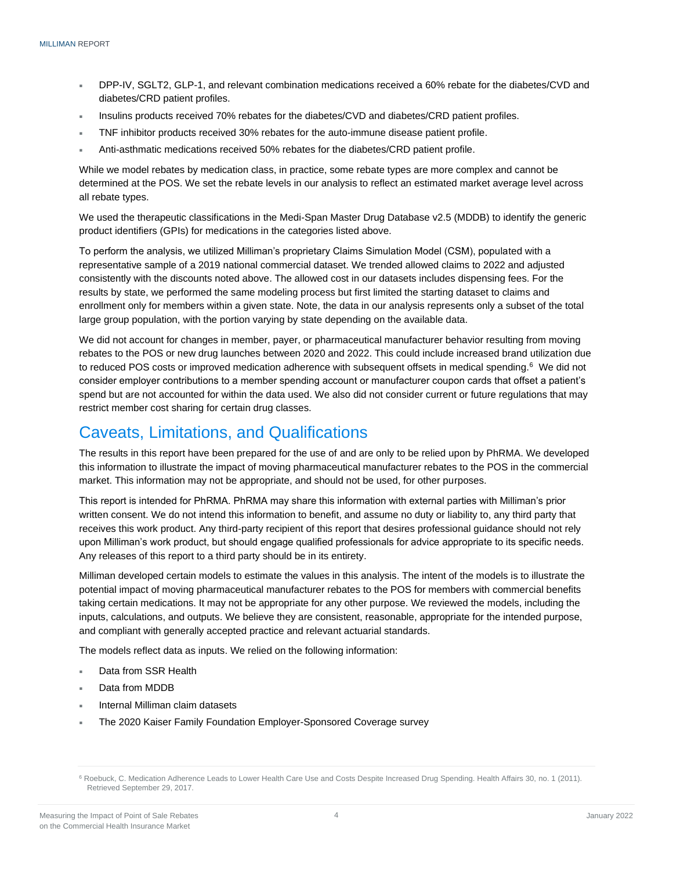- DPP-IV, SGLT2, GLP-1, and relevant combination medications received a 60% rebate for the diabetes/CVD and diabetes/CRD patient profiles.
- Insulins products received 70% rebates for the diabetes/CVD and diabetes/CRD patient profiles.
- TNF inhibitor products received 30% rebates for the auto-immune disease patient profile.
- Anti-asthmatic medications received 50% rebates for the diabetes/CRD patient profile.

While we model rebates by medication class, in practice, some rebate types are more complex and cannot be determined at the POS. We set the rebate levels in our analysis to reflect an estimated market average level across all rebate types.

We used the therapeutic classifications in the Medi-Span Master Drug Database v2.5 (MDDB) to identify the generic product identifiers (GPIs) for medications in the categories listed above.

To perform the analysis, we utilized Milliman's proprietary Claims Simulation Model (CSM), populated with a representative sample of a 2019 national commercial dataset. We trended allowed claims to 2022 and adjusted consistently with the discounts noted above. The allowed cost in our datasets includes dispensing fees. For the results by state, we performed the same modeling process but first limited the starting dataset to claims and enrollment only for members within a given state. Note, the data in our analysis represents only a subset of the total large group population, with the portion varying by state depending on the available data.

We did not account for changes in member, payer, or pharmaceutical manufacturer behavior resulting from moving rebates to the POS or new drug launches between 2020 and 2022. This could include increased brand utilization due to reduced POS costs or improved medication adherence with subsequent offsets in medical spending.<sup>6</sup> We did not consider employer contributions to a member spending account or manufacturer coupon cards that offset a patient's spend but are not accounted for within the data used. We also did not consider current or future regulations that may restrict member cost sharing for certain drug classes.

## Caveats, Limitations, and Qualifications

The results in this report have been prepared for the use of and are only to be relied upon by PhRMA. We developed this information to illustrate the impact of moving pharmaceutical manufacturer rebates to the POS in the commercial market. This information may not be appropriate, and should not be used, for other purposes.

This report is intended for PhRMA. PhRMA may share this information with external parties with Milliman's prior written consent. We do not intend this information to benefit, and assume no duty or liability to, any third party that receives this work product. Any third-party recipient of this report that desires professional guidance should not rely upon Milliman's work product, but should engage qualified professionals for advice appropriate to its specific needs. Any releases of this report to a third party should be in its entirety.

Milliman developed certain models to estimate the values in this analysis. The intent of the models is to illustrate the potential impact of moving pharmaceutical manufacturer rebates to the POS for members with commercial benefits taking certain medications. It may not be appropriate for any other purpose. We reviewed the models, including the inputs, calculations, and outputs. We believe they are consistent, reasonable, appropriate for the intended purpose, and compliant with generally accepted practice and relevant actuarial standards.

The models reflect data as inputs. We relied on the following information:

- Data from SSR Health
- Data from MDDB
- Internal Milliman claim datasets
- The 2020 Kaiser Family Foundation Employer-Sponsored Coverage survey

<sup>&</sup>lt;sup>6</sup> Roebuck, C. Medication Adherence Leads to Lower Health Care Use and Costs Despite Increased Drug Spending. Health Affairs 30, no. 1 (2011). Retrieved September 29, 2017.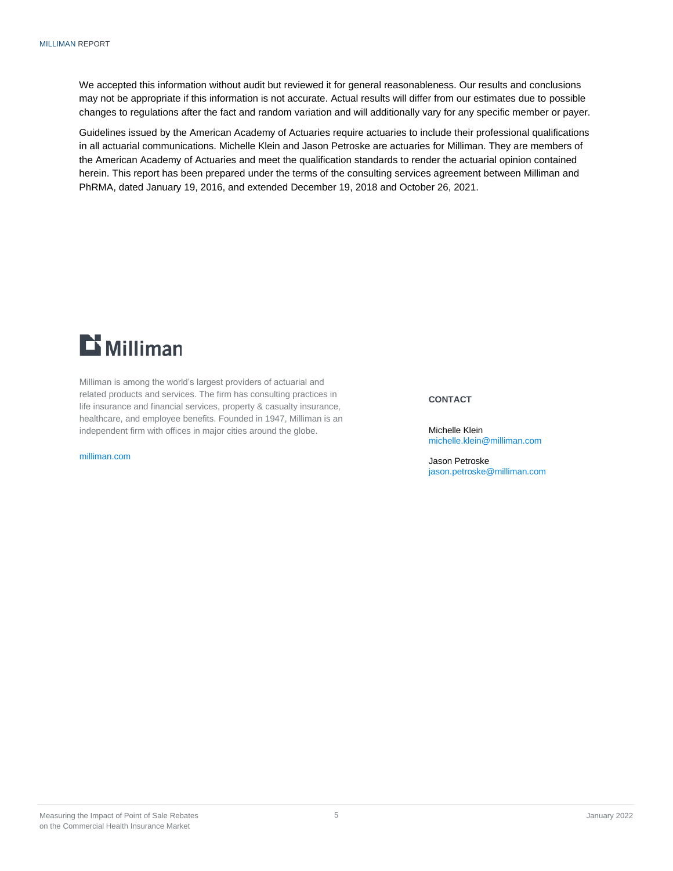We accepted this information without audit but reviewed it for general reasonableness. Our results and conclusions may not be appropriate if this information is not accurate. Actual results will differ from our estimates due to possible changes to regulations after the fact and random variation and will additionally vary for any specific member or payer.

Guidelines issued by the American Academy of Actuaries require actuaries to include their professional qualifications in all actuarial communications. Michelle Klein and Jason Petroske are actuaries for Milliman. They are members of the American Academy of Actuaries and meet the qualification standards to render the actuarial opinion contained herein. This report has been prepared under the terms of the consulting services agreement between Milliman and PhRMA, dated January 19, 2016, and extended December 19, 2018 and October 26, 2021.



Milliman is among the world's largest providers of actuarial and related products and services. The firm has consulting practices in life insurance and financial services, property & casualty insurance, healthcare, and employee benefits. Founded in 1947, Milliman is an independent firm with offices in major cities around the globe.

[milliman.com](http://www.milliman.com/)

## **CONTACT**

Michelle Klein [michelle.klein@milliman.com](mailto:michelle.klein@milliman.com)

Jason Petroske [jason.petroske@milliman.com](mailto:jason.petroske@milliman.com)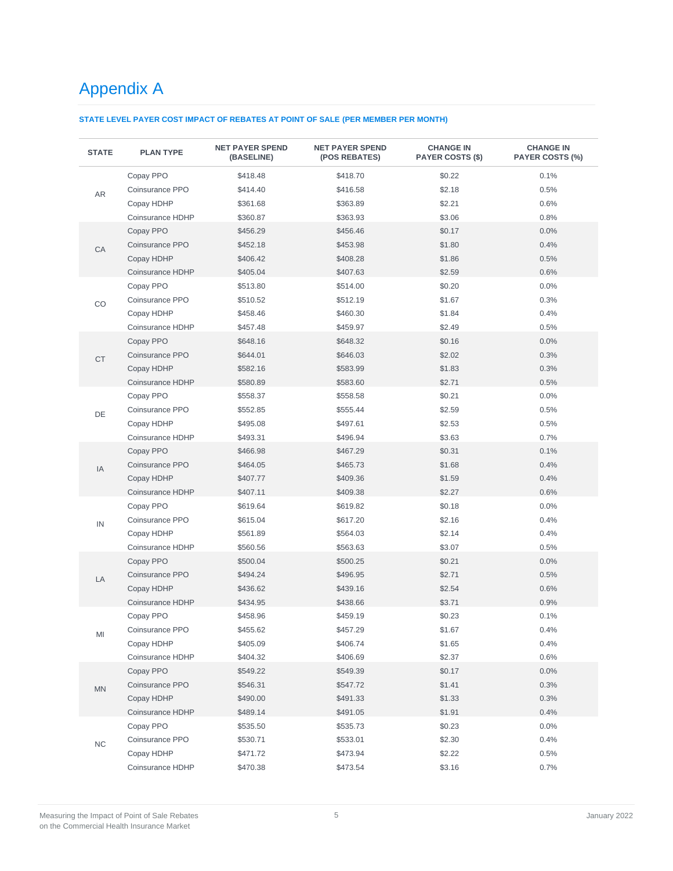# Appendix A

## **STATE LEVEL PAYER COST IMPACT OF REBATES AT POINT OF SALE (PER MEMBER PER MONTH)**

| <b>STATE</b> | <b>PLAN TYPE</b> | <b>NET PAYER SPEND</b><br>(BASELINE) | <b>NET PAYER SPEND</b><br>(POS REBATES) | <b>CHANGE IN</b><br><b>PAYER COSTS (\$)</b> | <b>CHANGE IN</b><br><b>PAYER COSTS (%)</b> |
|--------------|------------------|--------------------------------------|-----------------------------------------|---------------------------------------------|--------------------------------------------|
|              | Copay PPO        | \$418.48                             | \$418.70                                | \$0.22                                      | 0.1%                                       |
|              | Coinsurance PPO  | \$414.40                             | \$416.58                                | \$2.18                                      | 0.5%                                       |
| AR           | Copay HDHP       | \$361.68                             | \$363.89                                | \$2.21                                      | 0.6%                                       |
|              | Coinsurance HDHP | \$360.87                             | \$363.93                                | \$3.06                                      | 0.8%                                       |
|              | Copay PPO        | \$456.29                             | \$456.46                                | \$0.17                                      | 0.0%                                       |
|              | Coinsurance PPO  | \$452.18                             | \$453.98                                | \$1.80                                      | 0.4%                                       |
| CA           | Copay HDHP       | \$406.42                             | \$408.28                                | \$1.86                                      | 0.5%                                       |
|              | Coinsurance HDHP | \$405.04                             | \$407.63                                | \$2.59                                      | 0.6%                                       |
|              | Copay PPO        | \$513.80                             | \$514.00                                | \$0.20                                      | 0.0%                                       |
| CO           | Coinsurance PPO  | \$510.52                             | \$512.19                                | \$1.67                                      | 0.3%                                       |
|              | Copay HDHP       | \$458.46                             | \$460.30                                | \$1.84                                      | 0.4%                                       |
|              | Coinsurance HDHP | \$457.48                             | \$459.97                                | \$2.49                                      | 0.5%                                       |
|              | Copay PPO        | \$648.16                             | \$648.32                                | \$0.16                                      | 0.0%                                       |
|              | Coinsurance PPO  | \$644.01                             | \$646.03                                | \$2.02                                      | 0.3%                                       |
| <b>CT</b>    | Copay HDHP       | \$582.16                             | \$583.99                                | \$1.83                                      | 0.3%                                       |
|              | Coinsurance HDHP | \$580.89                             | \$583.60                                | \$2.71                                      | 0.5%                                       |
|              | Copay PPO        | \$558.37                             | \$558.58                                | \$0.21                                      | 0.0%                                       |
|              | Coinsurance PPO  | \$552.85                             | \$555.44                                | \$2.59                                      | 0.5%                                       |
| DE           | Copay HDHP       | \$495.08                             | \$497.61                                | \$2.53                                      | 0.5%                                       |
|              | Coinsurance HDHP | \$493.31                             | \$496.94                                | \$3.63                                      | 0.7%                                       |
|              | Copay PPO        | \$466.98                             | \$467.29                                | \$0.31                                      | 0.1%                                       |
|              | Coinsurance PPO  | \$464.05                             | \$465.73                                | \$1.68                                      | 0.4%                                       |
| IA           | Copay HDHP       | \$407.77                             | \$409.36                                | \$1.59                                      | 0.4%                                       |
|              | Coinsurance HDHP | \$407.11                             | \$409.38                                | \$2.27                                      | 0.6%                                       |
|              | Copay PPO        | \$619.64                             | \$619.82                                | \$0.18                                      | 0.0%                                       |
|              | Coinsurance PPO  | \$615.04                             | \$617.20                                | \$2.16                                      | 0.4%                                       |
| IN           | Copay HDHP       | \$561.89                             | \$564.03                                | \$2.14                                      | 0.4%                                       |
|              | Coinsurance HDHP | \$560.56                             | \$563.63                                | \$3.07                                      | 0.5%                                       |
|              | Copay PPO        | \$500.04                             | \$500.25                                | \$0.21                                      | 0.0%                                       |
| LA           | Coinsurance PPO  | \$494.24                             | \$496.95                                | \$2.71                                      | 0.5%                                       |
|              | Copay HDHP       | \$436.62                             | \$439.16                                | \$2.54                                      | 0.6%                                       |
|              | Coinsurance HDHP | \$434.95                             | \$438.66                                | \$3.71                                      | 0.9%                                       |
|              | Copay PPO        | \$458.96                             | \$459.19                                | \$0.23                                      | 0.1%                                       |
|              | Coinsurance PPO  | \$455.62                             | \$457.29                                | \$1.67                                      | 0.4%                                       |
| MI           | Copay HDHP       | \$405.09                             | \$406.74                                | \$1.65                                      | 0.4%                                       |
|              | Coinsurance HDHP | \$404.32                             | \$406.69                                | \$2.37                                      | 0.6%                                       |
|              | Copay PPO        | \$549.22                             | \$549.39                                | \$0.17                                      | 0.0%                                       |
|              | Coinsurance PPO  | \$546.31                             | \$547.72                                | \$1.41                                      | 0.3%                                       |
| MN           | Copay HDHP       | \$490.00                             | \$491.33                                | \$1.33                                      | 0.3%                                       |
|              | Coinsurance HDHP | \$489.14                             | \$491.05                                | \$1.91                                      | 0.4%                                       |
|              | Copay PPO        | \$535.50                             | \$535.73                                | \$0.23                                      | 0.0%                                       |
|              | Coinsurance PPO  | \$530.71                             | \$533.01                                | \$2.30                                      | 0.4%                                       |
| NC           | Copay HDHP       | \$471.72                             | \$473.94                                | \$2.22                                      | 0.5%                                       |
|              | Coinsurance HDHP | \$470.38                             | \$473.54                                | \$3.16                                      | 0.7%                                       |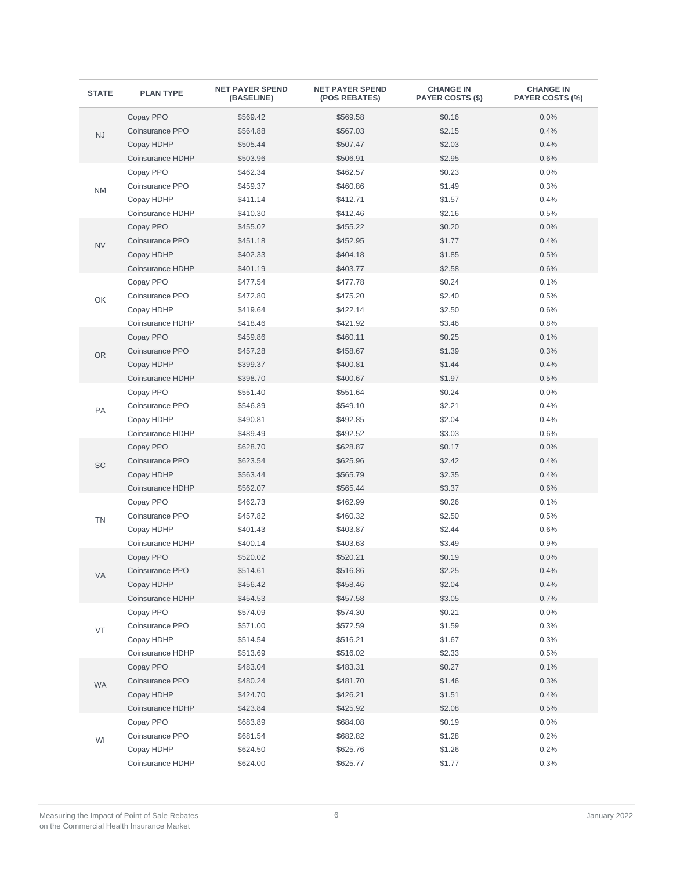| <b>STATE</b> | <b>PLAN TYPE</b>        | <b>NET PAYER SPEND</b><br>(BASELINE) | <b>NET PAYER SPEND</b><br>(POS REBATES) | <b>CHANGE IN</b><br><b>PAYER COSTS (\$)</b> | <b>CHANGE IN</b><br><b>PAYER COSTS (%)</b> |
|--------------|-------------------------|--------------------------------------|-----------------------------------------|---------------------------------------------|--------------------------------------------|
|              | Copay PPO               | \$569.42                             | \$569.58                                | \$0.16                                      | 0.0%                                       |
| <b>NJ</b>    | Coinsurance PPO         | \$564.88                             | \$567.03                                | \$2.15                                      | 0.4%                                       |
|              | Copay HDHP              | \$505.44                             | \$507.47                                | \$2.03                                      | 0.4%                                       |
|              | Coinsurance HDHP        | \$503.96                             | \$506.91                                | \$2.95                                      | 0.6%                                       |
|              | Copay PPO               | \$462.34                             | \$462.57                                | \$0.23                                      | 0.0%                                       |
| <b>NM</b>    | Coinsurance PPO         | \$459.37                             | \$460.86                                | \$1.49                                      | 0.3%                                       |
|              | Copay HDHP              | \$411.14                             | \$412.71                                | \$1.57                                      | 0.4%                                       |
|              | <b>Coinsurance HDHP</b> | \$410.30                             | \$412.46                                | \$2.16                                      | 0.5%                                       |
|              | Copay PPO               | \$455.02                             | \$455.22                                | \$0.20                                      | 0.0%                                       |
| <b>NV</b>    | Coinsurance PPO         | \$451.18                             | \$452.95                                | \$1.77                                      | 0.4%                                       |
|              | Copay HDHP              | \$402.33                             | \$404.18                                | \$1.85                                      | 0.5%                                       |
|              | Coinsurance HDHP        | \$401.19                             | \$403.77                                | \$2.58                                      | 0.6%                                       |
|              | Copay PPO               | \$477.54                             | \$477.78                                | \$0.24                                      | 0.1%                                       |
| OK           | Coinsurance PPO         | \$472.80                             | \$475.20                                | \$2.40                                      | 0.5%                                       |
|              | Copay HDHP              | \$419.64                             | \$422.14                                | \$2.50                                      | 0.6%                                       |
|              | Coinsurance HDHP        | \$418.46                             | \$421.92                                | \$3.46                                      | 0.8%                                       |
|              | Copay PPO               | \$459.86                             | \$460.11                                | \$0.25                                      | 0.1%                                       |
| <b>OR</b>    | Coinsurance PPO         | \$457.28                             | \$458.67                                | \$1.39                                      | 0.3%                                       |
|              | Copay HDHP              | \$399.37                             | \$400.81                                | \$1.44                                      | 0.4%                                       |
|              | Coinsurance HDHP        | \$398.70                             | \$400.67                                | \$1.97                                      | 0.5%                                       |
|              | Copay PPO               | \$551.40                             | \$551.64                                | \$0.24                                      | 0.0%                                       |
| PA           | Coinsurance PPO         | \$546.89                             | \$549.10                                | \$2.21                                      | 0.4%                                       |
|              | Copay HDHP              | \$490.81                             | \$492.85                                | \$2.04                                      | 0.4%                                       |
|              | Coinsurance HDHP        | \$489.49                             | \$492.52                                | \$3.03                                      | 0.6%                                       |
|              | Copay PPO               | \$628.70                             | \$628.87                                | \$0.17                                      | 0.0%                                       |
| SC           | Coinsurance PPO         | \$623.54                             | \$625.96                                | \$2.42                                      | 0.4%                                       |
|              | Copay HDHP              | \$563.44                             | \$565.79                                | \$2.35                                      | 0.4%                                       |
|              | Coinsurance HDHP        | \$562.07                             | \$565.44                                | \$3.37                                      | 0.6%                                       |
|              | Copay PPO               | \$462.73                             | \$462.99                                | \$0.26                                      | 0.1%                                       |
| <b>TN</b>    | Coinsurance PPO         | \$457.82                             | \$460.32                                | \$2.50                                      | 0.5%                                       |
|              | Copay HDHP              | \$401.43                             | \$403.87                                | \$2.44                                      | 0.6%                                       |
|              | Coinsurance HDHP        | \$400.14                             | \$403.63                                | \$3.49                                      | 0.9%                                       |
|              | Copay PPO               | \$520.02                             | \$520.21                                | \$0.19                                      | 0.0%                                       |
| VA.          | Coinsurance PPO         | \$514.61                             | \$516.86                                | \$2.25                                      | 0.4%                                       |
|              | Copay HDHP              | \$456.42                             | \$458.46                                | \$2.04                                      | 0.4%                                       |
|              | Coinsurance HDHP        | \$454.53                             | \$457.58                                | \$3.05                                      | 0.7%                                       |
|              | Copay PPO               | \$574.09                             | \$574.30                                | \$0.21                                      | 0.0%                                       |
| VT           | Coinsurance PPO         | \$571.00                             | \$572.59                                | \$1.59                                      | 0.3%                                       |
|              | Copay HDHP              | \$514.54                             | \$516.21                                | \$1.67                                      | 0.3%                                       |
|              | Coinsurance HDHP        | \$513.69                             | \$516.02                                | \$2.33                                      | 0.5%                                       |
|              | Copay PPO               | \$483.04                             | \$483.31                                | \$0.27                                      | 0.1%                                       |
| <b>WA</b>    | Coinsurance PPO         | \$480.24                             | \$481.70                                | \$1.46                                      | 0.3%                                       |
|              | Copay HDHP              | \$424.70                             | \$426.21                                | \$1.51                                      | 0.4%                                       |
|              | Coinsurance HDHP        | \$423.84                             | \$425.92                                | \$2.08                                      | 0.5%                                       |
|              | Copay PPO               | \$683.89                             | \$684.08                                | \$0.19                                      | 0.0%                                       |
| WI           | Coinsurance PPO         | \$681.54                             | \$682.82                                | \$1.28                                      | 0.2%                                       |
|              | Copay HDHP              | \$624.50                             | \$625.76                                | \$1.26                                      | 0.2%                                       |
|              | Coinsurance HDHP        | \$624.00                             | \$625.77                                | \$1.77                                      | 0.3%                                       |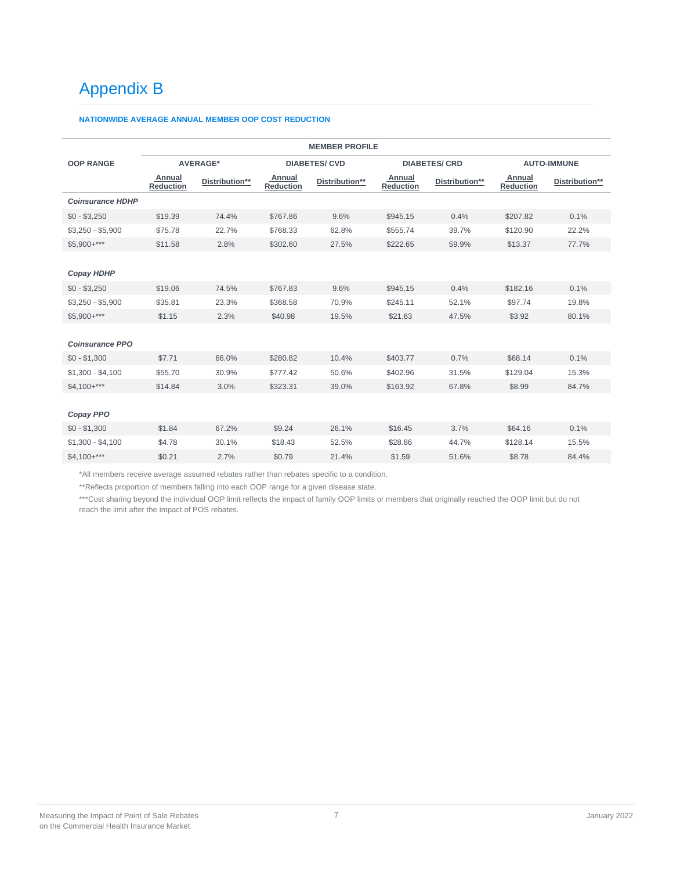# Appendix B

### **NATIONWIDE AVERAGE ANNUAL MEMBER OOP COST REDUCTION**

| <b>MEMBER PROFILE</b>   |                            |                 |                            |                      |                            |                      |                            |                    |
|-------------------------|----------------------------|-----------------|----------------------------|----------------------|----------------------------|----------------------|----------------------------|--------------------|
| <b>OOP RANGE</b>        |                            | <b>AVERAGE*</b> |                            | <b>DIABETES/ CVD</b> |                            | <b>DIABETES/ CRD</b> |                            | <b>AUTO-IMMUNE</b> |
|                         | Annual<br><b>Reduction</b> | Distribution**  | Annual<br><b>Reduction</b> | Distribution**       | Annual<br><b>Reduction</b> | Distribution**       | Annual<br><b>Reduction</b> | Distribution**     |
| <b>Coinsurance HDHP</b> |                            |                 |                            |                      |                            |                      |                            |                    |
| $$0 - $3,250$           | \$19.39                    | 74.4%           | \$767.86                   | 9.6%                 | \$945.15                   | 0.4%                 | \$207.82                   | 0.1%               |
| $$3,250 - $5,900$       | \$75.78                    | 22.7%           | \$768.33                   | 62.8%                | \$555.74                   | 39.7%                | \$120.90                   | 22.2%              |
| $$5,900+***$            | \$11.58                    | 2.8%            | \$302.60                   | 27.5%                | \$222.65                   | 59.9%                | \$13.37                    | 77.7%              |
|                         |                            |                 |                            |                      |                            |                      |                            |                    |
| <b>Copay HDHP</b>       |                            |                 |                            |                      |                            |                      |                            |                    |
| $$0 - $3,250$           | \$19.06                    | 74.5%           | \$767.83                   | 9.6%                 | \$945.15                   | 0.4%                 | \$182.16                   | 0.1%               |
| $$3,250 - $5,900$       | \$35.81                    | 23.3%           | \$368.58                   | 70.9%                | \$245.11                   | 52.1%                | \$97.74                    | 19.8%              |
| $$5,900+***$            | \$1.15                     | 2.3%            | \$40.98                    | 19.5%                | \$21.63                    | 47.5%                | \$3.92                     | 80.1%              |
|                         |                            |                 |                            |                      |                            |                      |                            |                    |
| <b>Coinsurance PPO</b>  |                            |                 |                            |                      |                            |                      |                            |                    |
| $$0 - $1,300$           | \$7.71                     | 66.0%           | \$280.82                   | 10.4%                | \$403.77                   | 0.7%                 | \$68.14                    | 0.1%               |
| $$1,300 - $4,100$       | \$55.70                    | 30.9%           | \$777.42                   | 50.6%                | \$402.96                   | 31.5%                | \$129.04                   | 15.3%              |
| $$4,100+***$            | \$14.84                    | 3.0%            | \$323.31                   | 39.0%                | \$163.92                   | 67.8%                | \$8.99                     | 84.7%              |
|                         |                            |                 |                            |                      |                            |                      |                            |                    |
| Copay PPO               |                            |                 |                            |                      |                            |                      |                            |                    |
| $$0 - $1,300$           | \$1.84                     | 67.2%           | \$9.24                     | 26.1%                | \$16.45                    | 3.7%                 | \$64.16                    | 0.1%               |
| $$1,300 - $4,100$       | \$4.78                     | 30.1%           | \$18.43                    | 52.5%                | \$28.86                    | 44.7%                | \$128.14                   | 15.5%              |
| $$4,100+***$            | \$0.21                     | 2.7%            | \$0.79                     | 21.4%                | \$1.59                     | 51.6%                | \$8.78                     | 84.4%              |
|                         |                            |                 |                            |                      |                            |                      |                            |                    |

\*All members receive average assumed rebates rather than rebates specific to a condition.

\*\*Reflects proportion of members falling into each OOP range for a given disease state.

\*\*\*Cost sharing beyond the individual OOP limit reflects the impact of family OOP limits or members that originally reached the OOP limit but do not reach the limit after the impact of POS rebates.